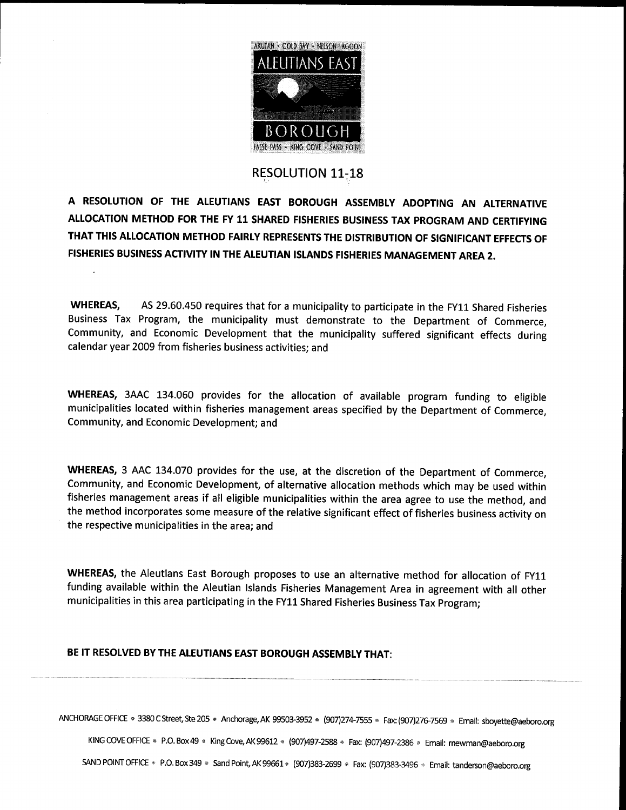

## **RESOLUTION 11-18**

A RESOLUTION OF THE ALEUTIANS EAST BOROUGH ASSEMBLY ADOPTING AN ALTERNATIVE ALLOCATION METHOD FOR THE FY 11 SHARED FISHERIES BUSINESS TAX PROGRAM AND CERTIFYING THAT THIS ALLOCATION METHOD FAIRLY REPRESENTS THE DISTRIBUTION OF SIGNIFICANT EFFECTS OF FISHERIES BUSINESS ACTIVITY IN THE ALEUTIAN ISLANDS FISHERIES MANAGEMENT AREA 2

WHEREAS, AS 29.60.450 requires that for a municipality to participate in the FY11 Shared Fisheries Business Tax Program, the municipality must demonstrate to the Department of Commerce, Community, and Economic Development that the municipality suffered significant effects during calendar year 2009 from fisheries business activities; and

WHEREAS, 3AAC 134.060 provides for the allocation of available program funding to eligible municipalities located within fisheries management areas specified by the Department of Commerce Community, and Economic Development; and

WHEREAS, 3 AAC 134.070 provides for the use, at the discretion of the Department of Commerce, Community, and Economic Development, of alternative allocation methods which may be used within fisheries management areas if all eligible municipalities within the area agree to use the method, and the method incorporates some measure of the relative significant effect of fisheries business activity on the respective municipalities in the area; and

WHEREAS, the Aleutians East Borough proposes to use an alternative method for allocation of FY11 funding available within the Aleutian Islands Fisheries Management Area in agreement with all other municipalities in this area participating in the FY11 Shared Fisheries Business Tax Program

## BE IT RESOLVED BY THE ALEUTIANS EAST BOROUGH ASSEMBLY THAT

ANCHORAGE OFFICE <sup>3380</sup> <sup>C</sup> Street Ste <sup>205</sup> Anchorage AK <sup>99503</sup> <sup>3952</sup> <sup>907</sup> <sup>2747555</sup> Fax<sup>907</sup> <sup>2767569</sup> Email sboyette@aeboro org AGE OFFICE • 3380 C Street, Ste 205 • Anchorage, AK 99503-3952 • (907)274-7555 • Fax: (907)276-7569 • Email: sboyette@ael<br>KING COVE OFFICE • P.O. Box 49 • King Cove, AK 99612 • (907)497-2588 • Fax: (907)497-2386 • Email: m

KING COVE OFFICE • P.O. Box 49 • King Cove, AK 99612 • (907)497-2588 • Fax: (907)497-2386 • Email: mewman@aeboro.org<br>SAND POINT OFFICE • P.O. Box 349 • Sand Point, AK 99661 • (907)383-2699 • Fax: (907)383-3496 • Email: tan